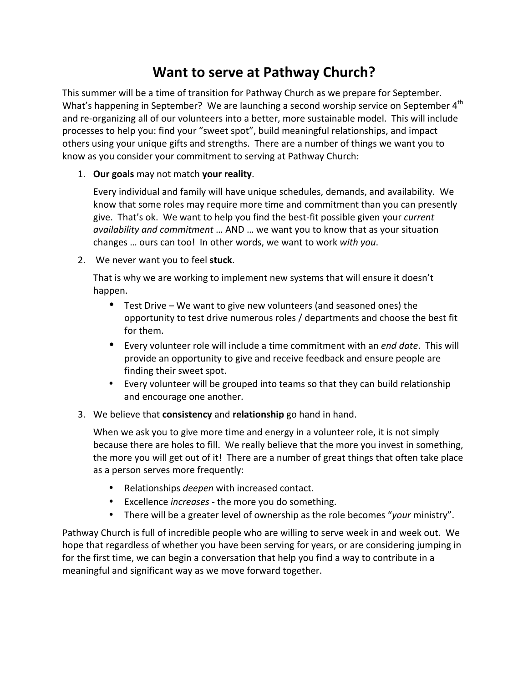## **Want to serve at Pathway Church?**

This summer will be a time of transition for Pathway Church as we prepare for September. What's happening in September? We are launching a second worship service on September 4<sup>th</sup> and re-organizing all of our volunteers into a better, more sustainable model. This will include processes to help you: find your "sweet spot", build meaningful relationships, and impact others using your unique gifts and strengths. There are a number of things we want you to know as you consider your commitment to serving at Pathway Church:

1. Our goals may not match your reality.

Every individual and family will have unique schedules, demands, and availability. We know that some roles may require more time and commitment than you can presently give. That's ok. We want to help you find the best-fit possible given your *current availability and commitment* ... AND ... we want you to know that as your situation changes ... ours can too! In other words, we want to work with you.

2. We never want you to feel stuck.

That is why we are working to implement new systems that will ensure it doesn't happen.

- Test Drive We want to give new volunteers (and seasoned ones) the opportunity to test drive numerous roles / departments and choose the best fit for them.
- Every volunteer role will include a time commitment with an *end date*. This will provide an opportunity to give and receive feedback and ensure people are finding their sweet spot.
- Every volunteer will be grouped into teams so that they can build relationship and encourage one another.
- 3. We believe that **consistency** and **relationship** go hand in hand.

When we ask you to give more time and energy in a volunteer role, it is not simply because there are holes to fill. We really believe that the more you invest in something, the more you will get out of it! There are a number of great things that often take place as a person serves more frequently:

- Relationships *deepen* with increased contact.
- Excellence *increases* the more you do something.
- There will be a greater level of ownership as the role becomes "*your* ministry".

Pathway Church is full of incredible people who are willing to serve week in and week out. We hope that regardless of whether you have been serving for years, or are considering jumping in for the first time, we can begin a conversation that help you find a way to contribute in a meaningful and significant way as we move forward together.